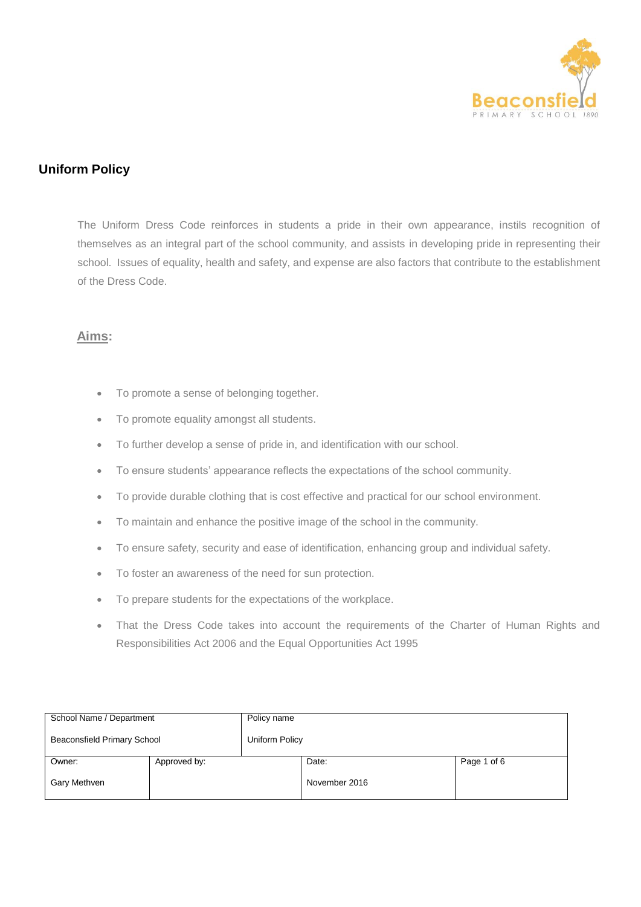

# **Uniform Policy**

The Uniform Dress Code reinforces in students a pride in their own appearance, instils recognition of themselves as an integral part of the school community, and assists in developing pride in representing their school. Issues of equality, health and safety, and expense are also factors that contribute to the establishment of the Dress Code.

### **Aims:**

- To promote a sense of belonging together.
- To promote equality amongst all students.
- To further develop a sense of pride in, and identification with our school.
- To ensure students' appearance reflects the expectations of the school community.
- To provide durable clothing that is cost effective and practical for our school environment.
- To maintain and enhance the positive image of the school in the community.
- To ensure safety, security and ease of identification, enhancing group and individual safety.
- To foster an awareness of the need for sun protection.
- To prepare students for the expectations of the workplace.
- That the Dress Code takes into account the requirements of the Charter of Human Rights and Responsibilities Act 2006 and the Equal Opportunities Act 1995

| School Name / Department           |              | Policy name    |               |             |  |
|------------------------------------|--------------|----------------|---------------|-------------|--|
| <b>Beaconsfield Primary School</b> |              | Uniform Policy |               |             |  |
| Owner:                             | Approved by: |                | Date:         | Page 1 of 6 |  |
| Gary Methven                       |              |                | November 2016 |             |  |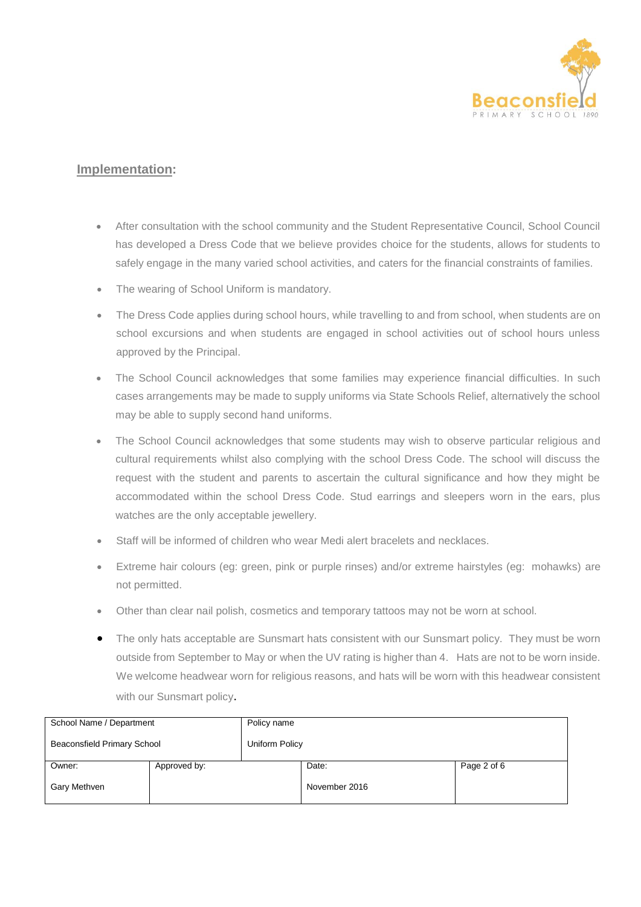

### **Implementation:**

- After consultation with the school community and the Student Representative Council, School Council has developed a Dress Code that we believe provides choice for the students, allows for students to safely engage in the many varied school activities, and caters for the financial constraints of families.
- The wearing of School Uniform is mandatory.
- The Dress Code applies during school hours, while travelling to and from school, when students are on school excursions and when students are engaged in school activities out of school hours unless approved by the Principal.
- The School Council acknowledges that some families may experience financial difficulties. In such cases arrangements may be made to supply uniforms via State Schools Relief, alternatively the school may be able to supply second hand uniforms.
- The School Council acknowledges that some students may wish to observe particular religious and cultural requirements whilst also complying with the school Dress Code. The school will discuss the request with the student and parents to ascertain the cultural significance and how they might be accommodated within the school Dress Code. Stud earrings and sleepers worn in the ears, plus watches are the only acceptable jewellery.
- Staff will be informed of children who wear Medi alert bracelets and necklaces.
- Extreme hair colours (eg: green, pink or purple rinses) and/or extreme hairstyles (eg: mohawks) are not permitted.
- Other than clear nail polish, cosmetics and temporary tattoos may not be worn at school.
- The only hats acceptable are Sunsmart hats consistent with our Sunsmart policy. They must be worn outside from September to May or when the UV rating is higher than 4. Hats are not to be worn inside. We welcome headwear worn for religious reasons, and hats will be worn with this headwear consistent with our Sunsmart policy.

| School Name / Department    |              | Policy name    |               |             |
|-----------------------------|--------------|----------------|---------------|-------------|
| Beaconsfield Primary School |              | Uniform Policy |               |             |
| Owner:                      | Approved by: |                | Date:         | Page 2 of 6 |
| Gary Methven                |              |                | November 2016 |             |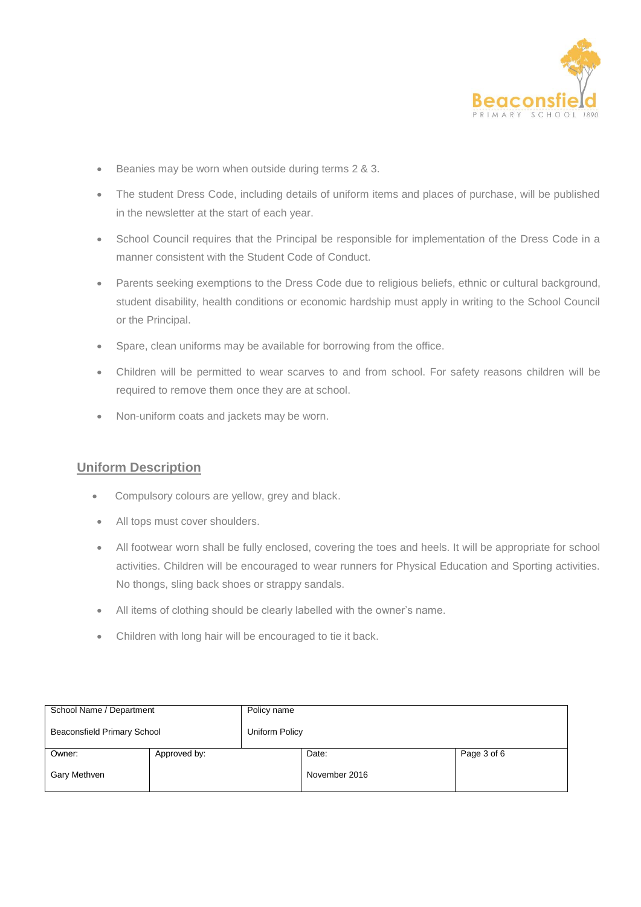

- Beanies may be worn when outside during terms 2 & 3.
- The student Dress Code, including details of uniform items and places of purchase, will be published in the newsletter at the start of each year.
- School Council requires that the Principal be responsible for implementation of the Dress Code in a manner consistent with the Student Code of Conduct.
- Parents seeking exemptions to the Dress Code due to religious beliefs, ethnic or cultural background, student disability, health conditions or economic hardship must apply in writing to the School Council or the Principal.
- Spare, clean uniforms may be available for borrowing from the office.
- Children will be permitted to wear scarves to and from school. For safety reasons children will be required to remove them once they are at school.
- Non-uniform coats and jackets may be worn.

### **Uniform Description**

- Compulsory colours are yellow, grey and black.
- All tops must cover shoulders.
- All footwear worn shall be fully enclosed, covering the toes and heels. It will be appropriate for school activities. Children will be encouraged to wear runners for Physical Education and Sporting activities. No thongs, sling back shoes or strappy sandals.
- All items of clothing should be clearly labelled with the owner's name.
- Children with long hair will be encouraged to tie it back.

| School Name / Department    |              | Policy name    |               |             |  |
|-----------------------------|--------------|----------------|---------------|-------------|--|
| Beaconsfield Primary School |              | Uniform Policy |               |             |  |
| Owner:                      | Approved by: |                | Date:         | Page 3 of 6 |  |
| Gary Methven                |              |                | November 2016 |             |  |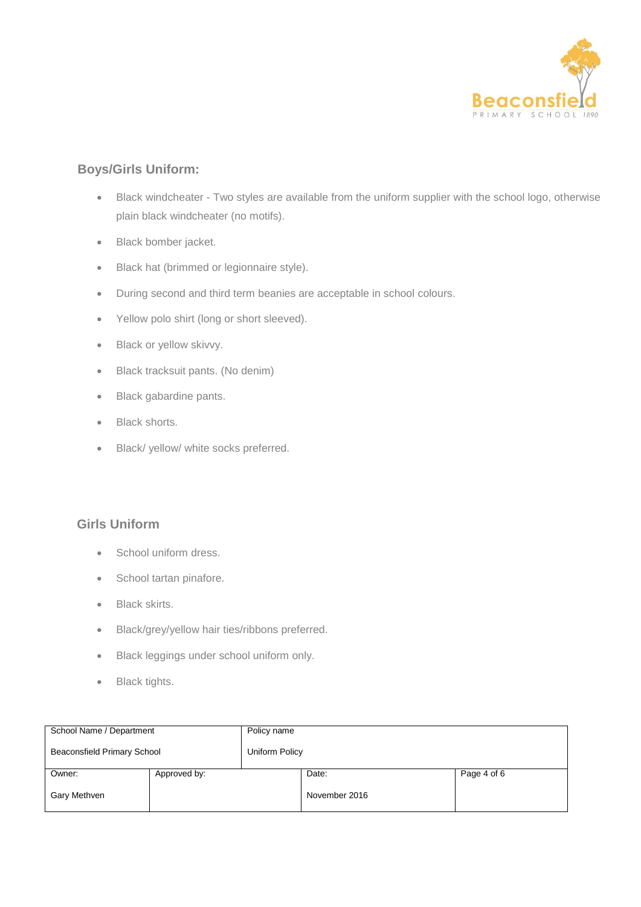

# **Boys/Girls Uniform:**

- Black windcheater Two styles are available from the uniform supplier with the school logo, otherwise plain black windcheater (no motifs).
- Black bomber jacket.
- **Black hat (brimmed or legionnaire style).**
- During second and third term beanies are acceptable in school colours.
- Yellow polo shirt (long or short sleeved).
- Black or yellow skivvy.
- Black tracksuit pants. (No denim)
- Black gabardine pants.
- Black shorts.
- Black/ yellow/ white socks preferred.

## **Girls Uniform**

- School uniform dress.
- School tartan pinafore.
- Black skirts.
- Black/grey/yellow hair ties/ribbons preferred.
- **Black leggings under school uniform only.**
- Black tights.

| School Name / Department           |              | Policy name    |               |             |  |
|------------------------------------|--------------|----------------|---------------|-------------|--|
| <b>Beaconsfield Primary School</b> |              | Uniform Policy |               |             |  |
| Owner:                             | Approved by: |                | Date:         | Page 4 of 6 |  |
| Gary Methven                       |              |                | November 2016 |             |  |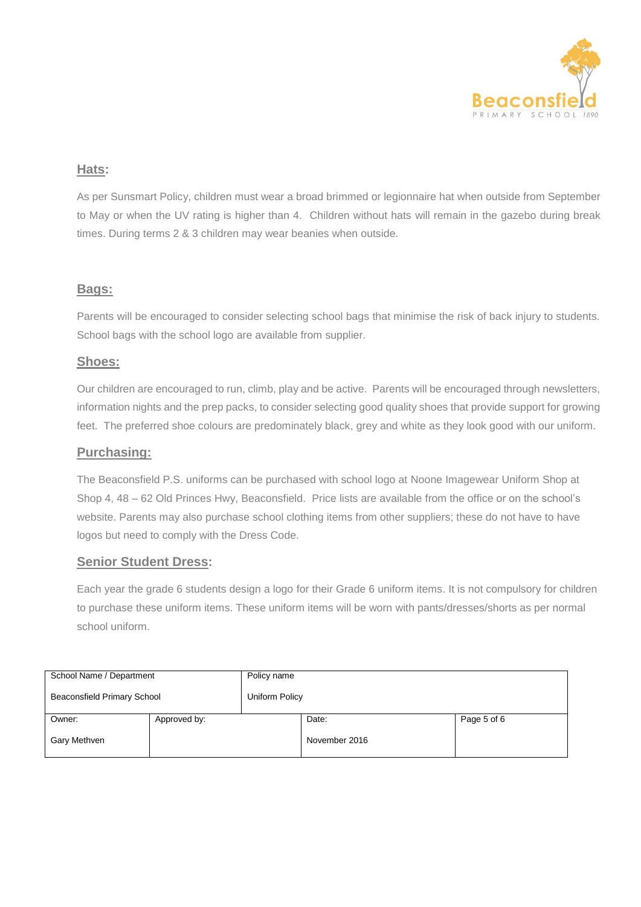

## **Hats:**

As per Sunsmart Policy, children must wear a broad brimmed or legionnaire hat when outside from September to May or when the UV rating is higher than 4. Children without hats will remain in the gazebo during break times. During terms 2 & 3 children may wear beanies when outside.

### **Bags:**

Parents will be encouraged to consider selecting school bags that minimise the risk of back injury to students. School bags with the school logo are available from supplier.

### **Shoes:**

Our children are encouraged to run, climb, play and be active. Parents will be encouraged through newsletters, information nights and the prep packs, to consider selecting good quality shoes that provide support for growing feet. The preferred shoe colours are predominately black, grey and white as they look good with our uniform.

#### **Purchasing:**

The Beaconsfield P.S. uniforms can be purchased with school logo at Noone Imagewear Uniform Shop at Shop 4, 48 – 62 Old Princes Hwy, Beaconsfield. Price lists are available from the office or on the school's website. Parents may also purchase school clothing items from other suppliers; these do not have to have logos but need to comply with the Dress Code.

### **Senior Student Dress:**

Each year the grade 6 students design a logo for their Grade 6 uniform items. It is not compulsory for children to purchase these uniform items. These uniform items will be worn with pants/dresses/shorts as per normal school uniform.

| School Name / Department           |              | Policy name    |               |             |  |
|------------------------------------|--------------|----------------|---------------|-------------|--|
| <b>Beaconsfield Primary School</b> |              | Uniform Policy |               |             |  |
| Owner:                             | Approved by: |                | Date:         | Page 5 of 6 |  |
| Gary Methven                       |              |                | November 2016 |             |  |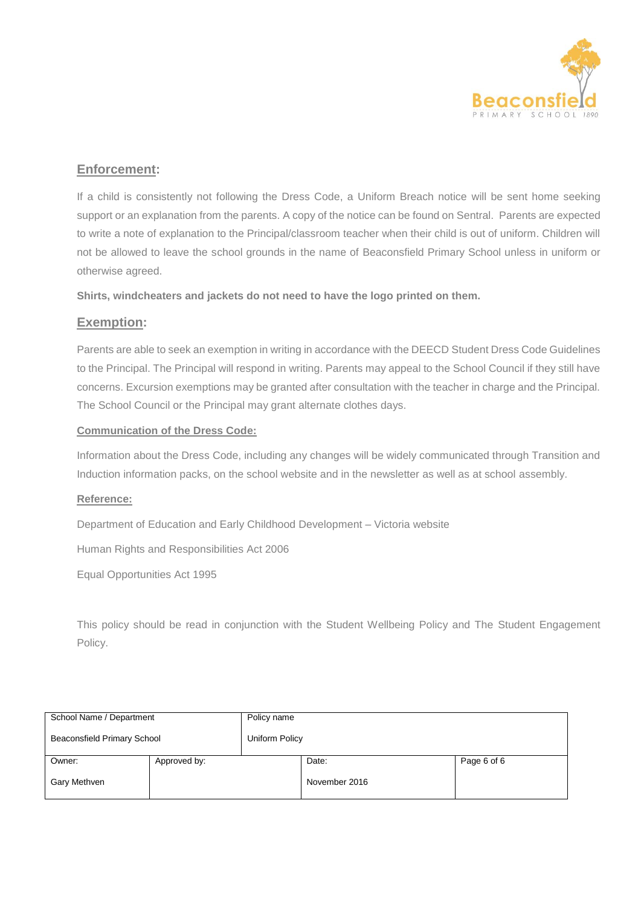

# **Enforcement:**

If a child is consistently not following the Dress Code, a Uniform Breach notice will be sent home seeking support or an explanation from the parents. A copy of the notice can be found on Sentral. Parents are expected to write a note of explanation to the Principal/classroom teacher when their child is out of uniform. Children will not be allowed to leave the school grounds in the name of Beaconsfield Primary School unless in uniform or otherwise agreed.

**Shirts, windcheaters and jackets do not need to have the logo printed on them.**

### **Exemption:**

Parents are able to seek an exemption in writing in accordance with the DEECD Student Dress Code Guidelines to the Principal. The Principal will respond in writing. Parents may appeal to the School Council if they still have concerns. Excursion exemptions may be granted after consultation with the teacher in charge and the Principal. The School Council or the Principal may grant alternate clothes days.

#### **Communication of the Dress Code:**

Information about the Dress Code, including any changes will be widely communicated through Transition and Induction information packs, on the school website and in the newsletter as well as at school assembly.

#### **Reference:**

Department of Education and Early Childhood Development – Victoria website

Human Rights and Responsibilities Act 2006

Equal Opportunities Act 1995

This policy should be read in conjunction with the Student Wellbeing Policy and The Student Engagement Policy.

| School Name / Department    |              | Policy name    |               |             |  |
|-----------------------------|--------------|----------------|---------------|-------------|--|
| Beaconsfield Primary School |              | Uniform Policy |               |             |  |
| Owner:                      | Approved by: |                | Date:         | Page 6 of 6 |  |
| Gary Methven                |              |                | November 2016 |             |  |